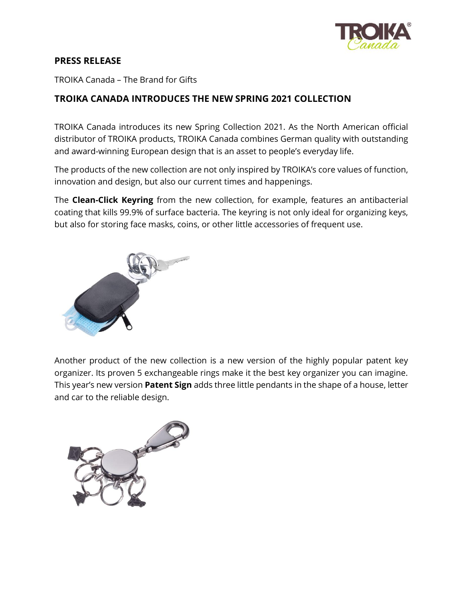

## **PRESS RELEASE**

TROIKA Canada – The Brand for Gifts

## **TROIKA CANADA INTRODUCES THE NEW SPRING 2021 COLLECTION**

[TROIKA Canada](https://troikacanada.com/) introduces its new Spring Collection 2021. As the North American official distributor of TROIKA products, TROIKA Canada combines German quality with outstanding and award-winning European design that is an asset to people's everyday life.

The products of the new collection are not only inspired by TROIKA's core values of function, innovation and design, but also our current times and happenings.

The **Clean-Click Keyring** from the new collection, for example, features an antibacterial coating that kills 99.9% of surface bacteria. The keyring is not only ideal for organizing keys, but also for storing face masks, coins, or other little accessories of frequent use.



Another product of the new collection is a new version of the highly popular patent key organizer. Its proven 5 exchangeable rings make it the best key organizer you can imagine. This year's new version **Patent Sign** adds three little pendants in the shape of a house, letter and car to the reliable design.